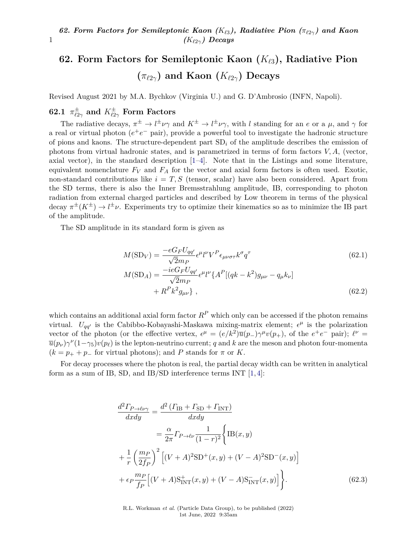# **62. Form Factors for Semileptonic Kaon (***K`*3**), Radiative Pion**  $(\pi_{\ell2\gamma})$  and Kaon  $(K_{\ell2\gamma})$  Decays

Revised August 2021 by M.A. Bychkov (Virginia U.) and G. D'Ambrosio (INFN, Napoli).

# $62.1$   $\pi^\pm_{\ell2\gamma}$  and  $K^\pm_{\ell2\gamma}$  Form Factors

1

The radiative decays,  $\pi^{\pm} \to l^{\pm} \nu \gamma$  and  $K^{\pm} \to l^{\pm} \nu \gamma$ , with *l* standing for an *e* or a  $\mu$ , and  $\gamma$  for a real or virtual photon  $(e^+e^-$  pair), provide a powerful tool to investigate the hadronic structure of pions and kaons. The structure-dependent part SD*<sup>i</sup>* of the amplitude describes the emission of photons from virtual hadronic states, and is parametrized in terms of form factors  $V, A$ , (vector, axial vector), in the standard description [\[1–](#page-5-0)[4\]](#page-5-1). Note that in the Listings and some literature, equivalent nomenclature  $F_V$  and  $F_A$  for the vector and axial form factors is often used. Exotic, non-standard contributions like  $i = T, S$  (tensor, scalar) have also been considered. Apart from the SD terms, there is also the Inner Bremsstrahlung amplitude, IB, corresponding to photon radiation from external charged particles and described by Low theorem in terms of the physical decay  $\pi^{\pm}(K^{\pm}) \to l^{\pm}\nu$ . Experiments try to optimize their kinematics so as to minimize the IB part of the amplitude.

The SD amplitude in its standard form is given as

$$
M(\text{SD}_V) = \frac{-eG_F U_{qq'}}{\sqrt{2}m_P} \epsilon^{\mu} l^{\nu} V^P \epsilon_{\mu\nu\sigma\tau} k^{\sigma} q^{\tau}
$$
(62.1)  

$$
M(\text{SD}_A) = \frac{-ieG_F U_{qq'}}{\sqrt{2}m_P} \epsilon^{\mu} l^{\nu} \{ A^P [(qk - k^2)g_{\mu\nu} - q_{\mu}k_{\nu}] + R^P k^2 g_{\mu\nu} \},
$$
(62.2)

which contains an additional axial form factor  $R<sup>P</sup>$  which only can be accessed if the photon remains virtual.  $U_{qq'}$  is the Cabibbo-Kobayashi-Maskawa mixing-matrix element;  $\epsilon^{\mu}$  is the polarization vector of the photon (or the effective vertex,  $\epsilon^{\mu} = (e/k^2)\overline{u}(p_{-})\gamma^{\mu}v(p_{+})$ , of the  $e^{+}e^{-}$  pair);  $\ell^{\nu} =$  $\overline{u}(p_\nu)\gamma^\nu(1-\gamma_5)v(p_\ell)$  is the lepton-neutrino current; *q* and *k* are the meson and photon four-momenta  $(k = p_+ + p_-)$  for virtual photons); and *P* stands for  $\pi$  or *K*.

For decay processes where the photon is real, the partial decay width can be written in analytical form as a sum of IB, SD, and IB/SD interference terms INT [\[1,](#page-5-0) [4\]](#page-5-1):

$$
\frac{d^2\Gamma_{P\to\ell\nu\gamma}}{dxdy} = \frac{d^2\left(\Gamma_{\text{IB}} + \Gamma_{\text{SD}} + \Gamma_{\text{INT}}\right)}{dxdy}
$$
\n
$$
= \frac{\alpha}{2\pi}\Gamma_{P\to\ell\nu}\frac{1}{(1-r)^2}\Big\{\text{IB}(x,y)
$$
\n
$$
+ \frac{1}{r}\left(\frac{m_P}{2f_P}\right)^2 \Big[(V+A)^2\text{SD}^+(x,y) + (V-A)^2\text{SD}^-(x,y)\Big]
$$
\n
$$
+ \epsilon_P \frac{m_P}{f_P}\Big[(V+A)\text{S}_{\text{INT}}^+(x,y) + (V-A)\text{S}_{\text{INT}}^-(x,y)\Big]\Big\}.\tag{62.3}
$$

R.L. Workman *et al.* (Particle Data Group), to be published (2022) 1st June, 2022 9:35am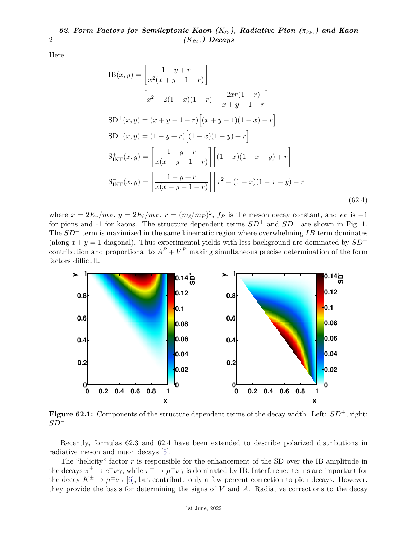Here

2

$$
IB(x,y) = \left[\frac{1-y+r}{x^2(x+y-1-r)}\right]
$$
  
\n
$$
\left[x^2 + 2(1-x)(1-r) - \frac{2xr(1-r)}{x+y-1-r}\right]
$$
  
\n
$$
SD^+(x,y) = (x+y-1-r)\left[(x+y-1)(1-x) - r\right]
$$
  
\n
$$
SD^-(x,y) = (1-y+r)\left[(1-x)(1-y) + r\right]
$$
  
\n
$$
S_{INT}^+(x,y) = \left[\frac{1-y+r}{x(x+y-1-r)}\right] \left[(1-x)(1-x-y) + r\right]
$$
  
\n
$$
S_{INT}^-(x,y) = \left[\frac{1-y+r}{x(x+y-1-r)}\right] \left[x^2 - (1-x)(1-x-y) - r\right]
$$
  
\n(62.4)

where  $x = 2E_\gamma/m_P$ ,  $y = 2E_\ell/m_P$ ,  $r = (m_\ell/m_P)^2$ ,  $f_P$  is the meson decay constant, and  $\epsilon_P$  is  $+1$ for pions and -1 for kaons. The structure dependent terms *SD*<sup>+</sup> and *SD*<sup>−</sup> are shown in Fig. 1. The *SD*<sup>−</sup> term is maximized in the same kinematic region where overwhelming *IB* term dominates (along  $x + y = 1$  diagonal). Thus experimental yields with less background are dominated by  $SD^+$ contribution and proportional to  $A^P + V^P$  making simultaneous precise determination of the form factors difficult.



**Figure 62.1:** Components of the structure dependent terms of the decay width. Left:  $SD^+$ , right: *SD*<sup>−</sup>

Recently, formulas 62.3 and 62.4 have been extended to describe polarized distributions in radiative meson and muon decays [\[5\]](#page-5-2).

The "helicity" factor  $r$  is responsible for the enhancement of the SD over the IB amplitude in the decays  $\pi^{\pm} \to e^{\pm} \nu \gamma$ , while  $\pi^{\pm} \to \mu^{\pm} \nu \gamma$  is dominated by IB. Interference terms are important for the decay  $K^{\pm} \to \mu^{\pm} \nu \gamma$  [\[6\]](#page-5-3), but contribute only a few percent correction to pion decays. However, they provide the basis for determining the signs of *V* and *A*. Radiative corrections to the decay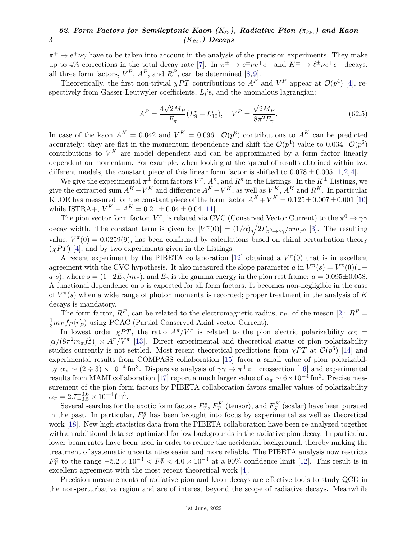$\pi^+ \to e^+ \nu \gamma$  have to be taken into account in the analysis of the precision experiments. They make up to 4% corrections in the total decay rate [\[7\]](#page-5-4). In  $\pi^{\pm} \to e^{\pm} \nu e^+ e^-$  and  $K^{\pm} \to \ell^{\pm} \nu e^+ e^-$  decays, all three form factors,  $V^P$ ,  $A^P$ , and  $R^P$ , can be determined [\[8,](#page-5-5)[9\]](#page-5-6).

Theoretically, the first non-trivial *χPT* contributions to  $A^P$  and  $V^P$  appear at  $\mathcal{O}(p^4)$  [\[4\]](#page-5-1), respectively from Gasser-Leutwyler coefficients,  $L_i$ 's, and the anomalous lagrangian:

$$
A^{P} = \frac{4\sqrt{2}M_{P}}{F_{\pi}}(L_{9}^{r} + L_{10}^{r}), \quad V^{P} = \frac{\sqrt{2}M_{P}}{8\pi^{2}F_{\pi}}.
$$
\n(62.5)

In case of the kaon  $A^K = 0.042$  and  $V^K = 0.096$ .  $\mathcal{O}(p^6)$  contributions to  $A^K$  can be predicted accurately: they are flat in the momentum dependence and shift the  $\mathcal{O}(p^4)$  value to 0.034.  $\mathcal{O}(p^6)$ contributions to  $V^K$  are model dependent and can be approximated by a form factor linearly dependent on momentum. For example, when looking at the spread of results obtained within two different models, the constant piece of this linear form factor is shifted to  $0.078 \pm 0.005$  [\[1,](#page-5-0) [2,](#page-5-7) [4\]](#page-5-1).

We give the experimental  $\pi^{\pm}$  form factors  $V^{\pi}$ ,  $A^{\pi}$ , and  $R^{\pi}$  in the Listings. In the  $K^{\pm}$  Listings, we give the extracted sum  $A^K + V^K$  and difference  $A^K - V^K$ , as well as  $V^K$ ,  $A^K$  and  $R^K$ . In particular KLOE has measured for the constant piece of the form factor  $A^K + V^K = 0.125 \pm 0.007 \pm 0.001$  [\[10\]](#page-5-8) while ISTRA+,  $V^K - A^K = 0.21 \pm 0.04 \pm 0.04$  [\[11\]](#page-5-9).

The pion vector form factor,  $V^{\pi}$ , is related via CVC (Conserved Vector Current) to the  $\pi^{0} \to \gamma\gamma$ decay width. The constant term is given by  $|V^{\pi}(0)| = (1/\alpha)\sqrt{2\Gamma_{\pi^0 \to \gamma\gamma}/\pi m_{\pi^0}}$  [\[3\]](#page-5-10). The resulting value,  $V^{\pi}(0) = 0.0259(9)$ , has been confirmed by calculations based on chiral perturbation theory  $(\chi PT)$  [\[4\]](#page-5-1), and by two experiments given in the Listings.

A recent experiment by the PIBETA collaboration [\[12\]](#page-6-0) obtained a  $V^{\pi}(0)$  that is in excellent agreement with the CVC hypothesis. It also measured the slope parameter *a* in  $V^{\pi}(s) = V^{\pi}(0)(1 +$  $(a·s)$ , where  $s = (1-2E_\gamma/m_\pi)$ , and  $E_\gamma$  is the gamma energy in the pion rest frame:  $a = 0.095 \pm 0.058$ . A functional dependence on *s* is expected for all form factors. It becomes non-negligible in the case of *V π* (*s*) when a wide range of photon momenta is recorded; proper treatment in the analysis of *K* decays is mandatory.

The form factor,  $R^P$ , can be related to the electromagnetic radius,  $r_P$ , of the meson [\[2\]](#page-5-7):  $R^P$  =  $\frac{1}{3}m_P f_P \langle r_P^2 \rangle$  using PCAC (Partial Conserved Axial vector Current).

In lowest order  $\chi PT$ , the ratio  $A^{\pi}/V^{\pi}$  is related to the pion electric polarizability  $\alpha_E =$  $[\alpha/(8\pi^2 m_\pi f_\pi^2)] \times A^{\pi}/V^{\pi}$  [\[13\]](#page-6-1). Direct experimental and theoretical status of pion polarizability studies currently is not settled. Most recent theoretical predictions from  $\chi PT$  at  $\mathcal{O}(p^6)$  [\[14\]](#page-6-2) and experimental results from COMPASS collaboration [\[15\]](#page-6-3) favor a small value of pion polarizability  $\alpha_{\pi} \sim (2 \div 3) \times 10^{-4}$  fm<sup>3</sup>. Dispersive analysis of  $\gamma \gamma \to \pi^+ \pi^-$  crossection [\[16\]](#page-6-4) and experimental results from MAMI collaboration [\[17\]](#page-6-5) report a much larger value of  $\alpha_{\pi} \sim 6 \times 10^{-4}$  fm<sup>3</sup>. Precise measurement of the pion form factors by PIBETA collaboration favors smaller values of polarizability  $\alpha_{\pi} = 2.7^{+0.6}_{-0.5} \times 10^{-4}$  fm<sup>3</sup>.

Several searches for the exotic form factors  $F_T^{\pi}$ ,  $F_T^K$  (tensor), and  $F_S^K$  (scalar) have been pursued in the past. In particular,  $F_T^{\pi}$  has been brought into focus by experimental as well as theoretical work [\[18\]](#page-6-6). New high-statistics data from the PIBETA collaboration have been re-analyzed together with an additional data set optimized for low backgrounds in the radiative pion decay. In particular, lower beam rates have been used in order to reduce the accidental background, thereby making the treatment of systematic uncertainties easier and more reliable. The PIBETA analysis now restricts  $F_T^{\pi}$  to the range  $-5.2 \times 10^{-4} < F_T^{\pi} < 4.0 \times 10^{-4}$  at a 90% confidence limit [\[12\]](#page-6-0). This result is in excellent agreement with the most recent theoretical work [\[4\]](#page-5-1).

Precision measurements of radiative pion and kaon decays are effective tools to study QCD in the non-perturbative region and are of interest beyond the scope of radiative decays. Meanwhile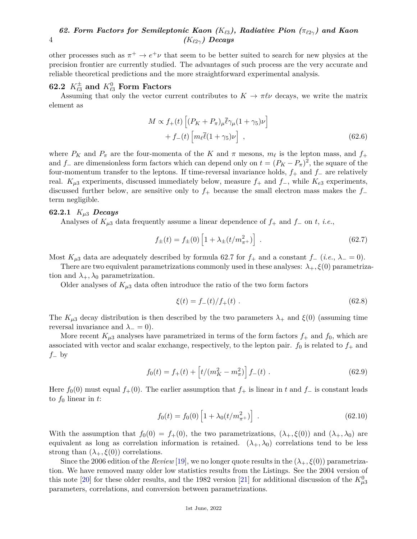other processes such as  $\pi^+ \to e^+ \nu$  that seem to be better suited to search for new physics at the precision frontier are currently studied. The advantages of such process are the very accurate and reliable theoretical predictions and the more straightforward experimental analysis.

# $62.2$   $K^\pm_{\ell3}$  and  $K^0_{\ell3}$  Form Factors

Assuming that only the vector current contributes to  $K \to \pi \ell \nu$  decays, we write the matrix element as

$$
M \propto f_{+}(t) \left[ (P_{K} + P_{\pi})_{\mu} \overline{\ell} \gamma_{\mu} (1 + \gamma_{5}) \nu \right] + f_{-}(t) \left[ m_{\ell} \overline{\ell} (1 + \gamma_{5}) \nu \right], \qquad (62.6)
$$

where  $P_K$  and  $P_\pi$  are the four-momenta of the *K* and  $\pi$  mesons,  $m_\ell$  is the lepton mass, and  $f_+$ and  $f$ <sup>−</sup> are dimensionless form factors which can depend only on  $t = (P_K - P_\pi)^2$ , the square of the four-momentum transfer to the leptons. If time-reversal invariance holds, *f*<sup>+</sup> and *f*<sup>−</sup> are relatively real.  $K_{\mu 3}$  experiments, discussed immediately below, measure  $f_+$  and  $f_-$ , while  $K_{e3}$  experiments, discussed further below, are sensitive only to *f*<sup>+</sup> because the small electron mass makes the *f*<sup>−</sup> term negligible.

### **62.2.1** *Kµ*<sup>3</sup> *Decays*

Analyses of *Kµ*<sup>3</sup> data frequently assume a linear dependence of *f*<sup>+</sup> and *f*<sup>−</sup> on *t*, *i.e.*,

$$
f_{\pm}(t) = f_{\pm}(0) \left[ 1 + \lambda_{\pm}(t/m_{\pi^+}^2) \right] \tag{62.7}
$$

Most  $K_{\mu 3}$  data are adequately described by formula 62.7 for  $f_+$  and a constant  $f_-(i.e., \lambda = 0)$ .

There are two equivalent parametrizations commonly used in these analyses:  $\lambda_+$ ,  $\xi(0)$  parametrization and  $\lambda_+$ ,  $\lambda_0$  parametrization.

Older analyses of  $K_{\mu 3}$  data often introduce the ratio of the two form factors

$$
\xi(t) = f_{-}(t)/f_{+}(t) \tag{62.8}
$$

The  $K_{\mu 3}$  decay distribution is then described by the two parameters  $\lambda_+$  and  $\xi(0)$  (assuming time reversal invariance and  $\lambda_-=0$ ).

More recent  $K_{\mu 3}$  analyses have parametrized in terms of the form factors  $f_+$  and  $f_0$ , which are associated with vector and scalar exchange, respectively, to the lepton pair.  $f_0$  is related to  $f_+$  and *f*<sup>−</sup> by

$$
f_0(t) = f_+(t) + \left[ t/(m_K^2 - m_\pi^2) \right] f_-(t) \tag{62.9}
$$

Here  $f_0(0)$  must equal  $f_+(0)$ . The earlier assumption that  $f_+$  is linear in  $t$  and  $f_-\$  is constant leads to *f*<sup>0</sup> linear in *t*:

$$
f_0(t) = f_0(0) \left[ 1 + \lambda_0 (t/m_{\pi^+}^2) \right] \tag{62.10}
$$

With the assumption that  $f_0(0) = f_+(0)$ , the two parametrizations,  $(\lambda_+, \xi(0))$  and  $(\lambda_+, \lambda_0)$  are equivalent as long as correlation information is retained.  $(\lambda_+, \lambda_0)$  correlations tend to be less strong than  $(\lambda_+, \xi(0))$  correlations.

Since the 2006 edition of the *Review* [\[19\]](#page-6-7), we no longer quote results in the  $(\lambda_+, \xi(0))$  parametrization. We have removed many older low statistics results from the Listings. See the 2004 version of this note [\[20\]](#page-6-8) for these older results, and the 1982 version [\[21\]](#page-6-9) for additional discussion of the  $K_{\mu 3}^0$ parameters, correlations, and conversion between parametrizations.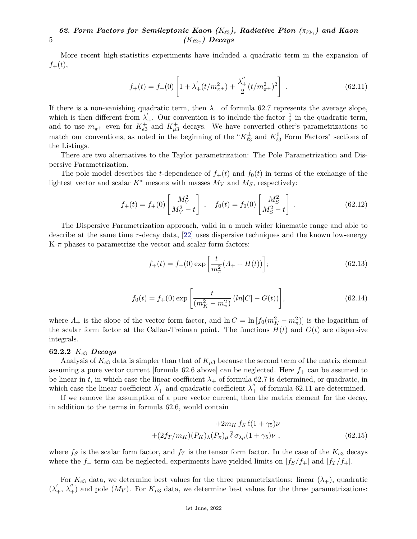More recent high-statistics experiments have included a quadratic term in the expansion of  $f_{+}(t),$ 

$$
f_{+}(t) = f_{+}(0) \left[ 1 + \lambda_{+}'(t/m_{\pi^{+}}^{2}) + \frac{\lambda_{+}''}{2}(t/m_{\pi^{+}}^{2})^{2} \right] . \tag{62.11}
$$

If there is a non-vanishing quadratic term, then  $\lambda_+$  of formula 62.7 represents the average slope, which is then different from  $\lambda'_{+}$ . Our convention is to include the factor  $\frac{1}{2}$  in the quadratic term, and to use  $m_{\pi^+}$  even for  $K_{e3}^+$  and  $K_{\mu 3}^+$  decays. We have converted other's parametrizations to match our conventions, as noted in the beginning of the " $K_{\ell_3}^{\pm}$  and  $K_{\ell_3}^0$  Form Factors" sections of the Listings.

There are two alternatives to the Taylor parametrization: The Pole Parametrization and Dispersive Parametrization.

The pole model describes the *t*-dependence of  $f_+(t)$  and  $f_0(t)$  in terms of the exchange of the lightest vector and scalar  $K^*$  mesons with masses  $M_V$  and  $M_S$ , respectively:

$$
f_{+}(t) = f_{+}(0) \left[ \frac{M_V^2}{M_V^2 - t} \right] , \quad f_0(t) = f_0(0) \left[ \frac{M_S^2}{M_S^2 - t} \right] . \tag{62.12}
$$

The Dispersive Parametrization approach, valid in a much wider kinematic range and able to describe at the same time *τ* -decay data, [\[22\]](#page-6-10) uses dispersive techniques and the known low-energy K-*π* phases to parametrize the vector and scalar form factors:

$$
f_{+}(t) = f_{+}(0) \exp\left[\frac{t}{m_{\pi}^{2}}(A_{+} + H(t))\right];
$$
\n(62.13)

$$
f_0(t) = f_+(0) \exp\left[\frac{t}{(m_K^2 - m_\pi^2)} \left(ln[C] - G(t)\right)\right],\tag{62.14}
$$

where  $\Lambda_+$  is the slope of the vector form factor, and  $\ln C = \ln \left[ f_0(m_K^2 - m_\pi^2) \right]$  is the logarithm of the scalar form factor at the Callan-Treiman point. The functions  $H(t)$  and  $G(t)$  are dispersive integrals.

### **62.2.2** *Ke*<sup>3</sup> *Decays*

Analysis of  $K_{e3}$  data is simpler than that of  $K_{\mu3}$  because the second term of the matrix element assuming a pure vector current [formula  $62.6$  above] can be neglected. Here  $f_+$  can be assumed to be linear in *t*, in which case the linear coefficient  $\lambda_+$  of formula 62.7 is determined, or quadratic, in which case the linear coefficient  $\lambda'_{+}$  and quadratic coefficient  $\lambda''_{+}$  of formula 62.11 are determined.

If we remove the assumption of a pure vector current, then the matrix element for the decay, in addition to the terms in formula 62.6, would contain

$$
+2m_K f_S \overline{\ell}(1+\gamma_5)\nu
$$
  
 
$$
+(2f_T/m_K)(P_K)_{\lambda}(P_{\pi})_{\mu} \overline{\ell} \sigma_{\lambda \mu}(1+\gamma_5)\nu , \qquad (62.15)
$$

where  $f_S$  is the scalar form factor, and  $f_T$  is the tensor form factor. In the case of the  $K_{e3}$  decays where the *f*<sub>−</sub> term can be neglected, experiments have yielded limits on  $|f_S/f_+|$  and  $|f_T/f_+|$ .

For  $K_{e3}$  data, we determine best values for the three parametrizations: linear  $(\lambda_{+})$ , quadratic  $(\lambda'_+, \lambda''_+)$  and pole  $(M_V)$ . For  $K_{\mu 3}$  data, we determine best values for the three parametrizations: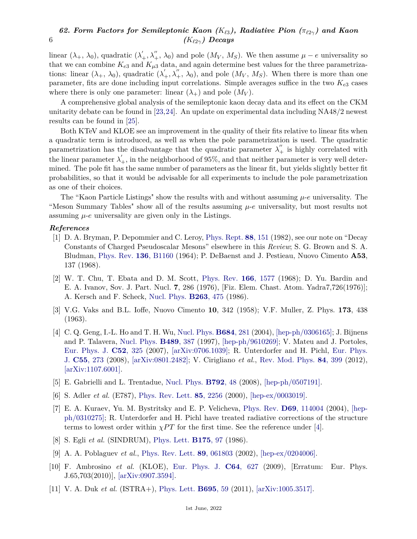linear  $(\lambda_+, \lambda_0)$ , quadratic  $(\lambda'_+, \lambda''_+, \lambda_0)$  and pole  $(M_V, M_S)$ . We then assume  $\mu - e$  universality so that we can combine  $K_{e3}$  and  $K_{\mu 3}$  data, and again determine best values for the three parametrizations: linear  $(\lambda_+, \lambda_0)$ , quadratic  $(\lambda'_+, \lambda''_+, \lambda_0)$ , and pole  $(M_V, M_S)$ . When there is more than one parameter, fits are done including input correlations. Simple averages suffice in the two *Ke*<sup>3</sup> cases where there is only one parameter: linear  $(\lambda_+)$  and pole  $(M_V)$ .

A comprehensive global analysis of the semileptonic kaon decay data and its effect on the CKM unitarity debate can be found in [\[23,](#page-6-11)[24\]](#page-6-12). An update on experimental data including NA48/2 newest results can be found in [\[25\]](#page-6-13).

Both KTeV and KLOE see an improvement in the quality of their fits relative to linear fits when a quadratic term is introduced, as well as when the pole parametrization is used. The quadratic parametrization has the disadvantage that the quadratic parameter  $\lambda''_+$  is highly correlated with the linear parameter  $\lambda'_{+}$ , in the neighborhood of 95%, and that neither parameter is very well determined. The pole fit has the same number of parameters as the linear fit, but yields slightly better fit probabilities, so that it would be advisable for all experiments to include the pole parametrization as one of their choices.

The "Kaon Particle Listings" show the results with and without assuming *µ*-*e* universality. The "Meson Summary Tables" show all of the results assuming *µ*-*e* universality, but most results not assuming  $\mu$ -*e* universality are given only in the Listings.

## <span id="page-5-0"></span>*References*

- [1] D. A. Bryman, P. Depommier and C. Leroy, [Phys. Rept.](http://doi.org/10.1016/0370-1573(82)90162-4) **88**[, 151](http://doi.org/10.1016/0370-1573(82)90162-4) (1982), see our note on "Decay Constants of Charged Pseudoscalar Mesons" elsewhere in this *Review*; S. G. Brown and S. A. Bludman, [Phys. Rev.](http://doi.org/10.1103/PhysRev.136.B1160) **136**[, B1160](http://doi.org/10.1103/PhysRev.136.B1160) (1964); P. DeBaenst and J. Pestieau, Nuovo Cimento **A53**, 137 (1968).
- <span id="page-5-7"></span>[2] W. T. Chu, T. Ebata and D. M. Scott, [Phys. Rev.](http://doi.org/10.1103/PhysRev.166.1577) **166**[, 1577](http://doi.org/10.1103/PhysRev.166.1577) (1968); D. Yu. Bardin and E. A. Ivanov, Sov. J. Part. Nucl. **7**, 286 (1976), [Fiz. Elem. Chast. Atom. Yadra7,726(1976)]; A. Kersch and F. Scheck, [Nucl. Phys.](http://doi.org/10.1016/0550-3213(86)90127-6) **[B263](http://doi.org/10.1016/0550-3213(86)90127-6)**, 475 (1986).
- <span id="page-5-10"></span>[3] V.G. Vaks and B.L. Ioffe, Nuovo Cimento **10**, 342 (1958); V.F. Muller, Z. Phys. **173**, 438 (1963).
- <span id="page-5-1"></span>[4] C. Q. Geng, I.-L. Ho and T. H. Wu, [Nucl. Phys.](http://doi.org/10.1016/j.nuclphysb.2003.12.039) **[B684](http://doi.org/10.1016/j.nuclphysb.2003.12.039)**, 281 (2004), [\[hep-ph/0306165\];](https://arxiv.org/abs/hep-ph/0306165) J. Bijnens and P. Talavera, [Nucl. Phys.](http://doi.org/10.1016/S0550-3213(97)00069-2) **[B489](http://doi.org/10.1016/S0550-3213(97)00069-2)**, 387 (1997), [\[hep-ph/9610269\];](https://arxiv.org/abs/hep-ph/9610269) V. Mateu and J. Portoles, [Eur. Phys. J.](http://doi.org/10.1140/epjc/s10052-007-0393-5) **C52**[, 325](http://doi.org/10.1140/epjc/s10052-007-0393-5) (2007), [\[arXiv:0706.1039\];](https://arxiv.org/abs/0706.1039) R. Unterdorfer and H. Pichl, [Eur. Phys.](http://doi.org/10.1140/epjc/s10052-008-0584-8) [J.](http://doi.org/10.1140/epjc/s10052-008-0584-8) **C55**[, 273](http://doi.org/10.1140/epjc/s10052-008-0584-8) (2008), [\[arXiv:0801.2482\];](https://arxiv.org/abs/0801.2482) V. Cirigliano *et al.*, [Rev. Mod. Phys.](http://doi.org/10.1103/RevModPhys.84.399) **84**[, 399](http://doi.org/10.1103/RevModPhys.84.399) (2012), [\[arXiv:1107.6001\].](https://arxiv.org/abs/1107.6001)
- <span id="page-5-3"></span><span id="page-5-2"></span>[5] E. Gabrielli and L. Trentadue, [Nucl. Phys.](http://doi.org/10.1016/j.nuclphysb.2007.07.029) **[B792](http://doi.org/10.1016/j.nuclphysb.2007.07.029)**, 48 (2008), [\[hep-ph/0507191\].](https://arxiv.org/abs/hep-ph/0507191)
- <span id="page-5-4"></span>[6] S. Adler *et al.* (E787), [Phys. Rev. Lett.](http://doi.org/10.1103/PhysRevLett.85.2256) **85**[, 2256](http://doi.org/10.1103/PhysRevLett.85.2256) (2000), [\[hep-ex/0003019\].](https://arxiv.org/abs/hep-ex/0003019)
- [7] E. A. Kuraev, Yu. M. Bystritsky and E. P. Velicheva, [Phys. Rev.](http://doi.org/10.1103/PhysRevD.69.114004) **D69**[, 114004](http://doi.org/10.1103/PhysRevD.69.114004) (2004), [\[hep](https://arxiv.org/abs/hep-ph/0310275)[ph/0310275\];](https://arxiv.org/abs/hep-ph/0310275) R. Unterdorfer and H. Pichl have treated radiative corrections of the structure terms to lowest order within  $\chi PT$  for the first time. See the reference under [\[4\]](#page-5-1).
- <span id="page-5-6"></span><span id="page-5-5"></span>[8] S. Egli *et al.* (SINDRUM), [Phys. Lett.](http://doi.org/10.1016/0370-2693(86)90338-2) **[B175](http://doi.org/10.1016/0370-2693(86)90338-2)**, 97 (1986).
- [9] A. A. Poblaguev *et al.*, [Phys. Rev. Lett.](http://doi.org/10.1103/PhysRevLett.89.061803) **89**[, 061803](http://doi.org/10.1103/PhysRevLett.89.061803) (2002), [\[hep-ex/0204006\].](https://arxiv.org/abs/hep-ex/0204006)
- <span id="page-5-8"></span>[10] F. Ambrosino *et al.* (KLOE), [Eur. Phys. J.](http://doi.org/10.1140/epjc/s10052-009-1217-6) **C64**[, 627](http://doi.org/10.1140/epjc/s10052-009-1217-6) (2009), [Erratum: Eur. Phys. J.65,703(2010)], [\[arXiv:0907.3594\].](https://arxiv.org/abs/0907.3594)
- <span id="page-5-9"></span>[11] V. A. Duk *et al.* (ISTRA+), [Phys. Lett.](http://doi.org/10.1016/j.physletb.2010.10.043) **[B695](http://doi.org/10.1016/j.physletb.2010.10.043)**, 59 (2011), [\[arXiv:1005.3517\].](https://arxiv.org/abs/1005.3517)